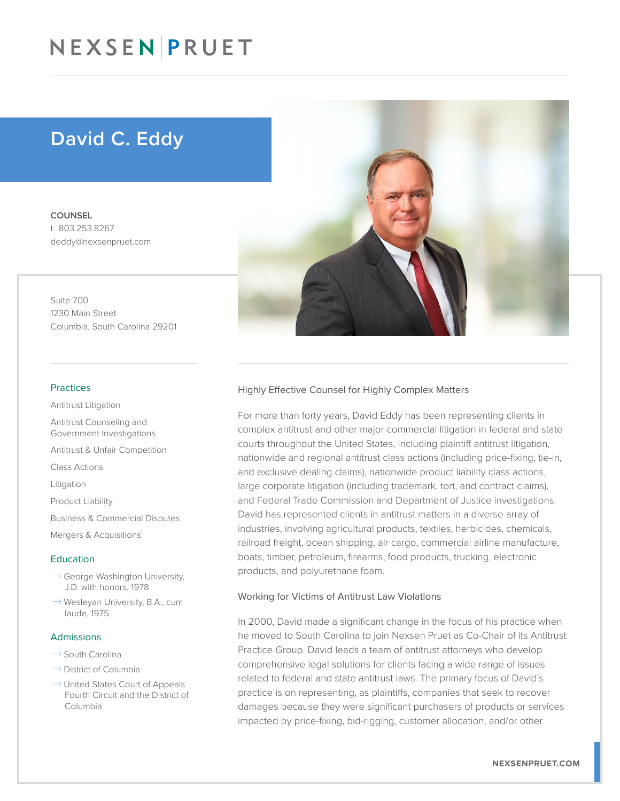# NEXSEN PRUET

# David C. Eddy

COUNSEL t. 803.253.8267 deddy@nexsenpruet.com

Suite 700 1230 Main Street Columbia, South Carolina 29201

#### Practices

Antitrust Litigation

Antitrust Counseling and Government Investigations

Antitrust & Unfair Competition

Class Actions

Litigation

Product Liability

Business & Commercial Disputes

Mergers & Acquisitions

#### Education

- $\rightarrow$  George Washington University, J.D. with honors, 1978
- $\rightarrow$  Wesleyan University, B.A., cum laude, 1975

#### Admissions

- $\rightarrow$  South Carolina
- $\rightarrow$  District of Columbia
- $\rightarrow$  United States Court of Appeals Fourth Circuit and the District of Columbia



#### Highly Effective Counsel for Highly Complex Matters

For more than forty years, David Eddy has been representing clients in complex antitrust and other major commercial litigation in federal and state courts throughout the United States, including plaintiff antitrust litigation, nationwide and regional antitrust class actions (including price-fixing, tie-in, and exclusive dealing claims), nationwide product liability class actions, large corporate litigation (including trademark, tort, and contract claims), and Federal Trade Commission and Department of Justice investigations. David has represented clients in antitrust matters in a diverse array of industries, involving agricultural products, textiles, herbicides, chemicals, railroad freight, ocean shipping, air cargo, commercial airline manufacture, boats, timber, petroleum, firearms, food products, trucking, electronic products, and polyurethane foam.

#### Working for Victims of Antitrust Law Violations

In 2000, David made a significant change in the focus of his practice when he moved to South Carolina to join Nexsen Pruet as Co-Chair of its Antitrust Practice Group. David leads a team of antitrust attorneys who develop comprehensive legal solutions for clients facing a wide range of issues related to federal and state antitrust laws. The primary focus of David's practice is on representing, as plaintiffs, companies that seek to recover damages because they were significant purchasers of products or services impacted by price-fixing, bid-rigging, customer allocation, and/or other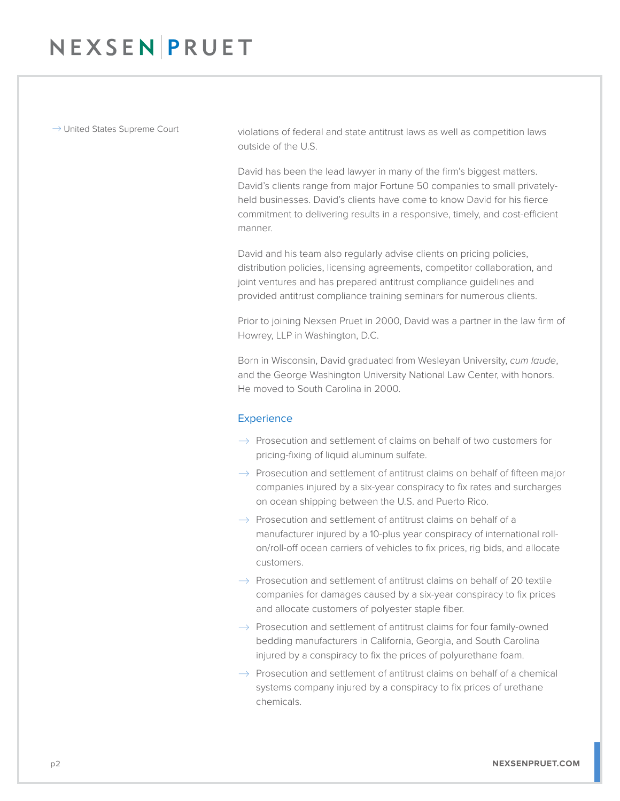$\rightarrow$  United States Supreme Court violations of federal and state antitrust laws as well as competition laws outside of the U.S.

> David has been the lead lawyer in many of the firm's biggest matters. David's clients range from major Fortune 50 companies to small privatelyheld businesses. David's clients have come to know David for his fierce commitment to delivering results in a responsive, timely, and cost-efficient manner.

David and his team also regularly advise clients on pricing policies, distribution policies, licensing agreements, competitor collaboration, and joint ventures and has prepared antitrust compliance guidelines and provided antitrust compliance training seminars for numerous clients.

Prior to joining Nexsen Pruet in 2000, David was a partner in the law firm of Howrey, LLP in Washington, D.C.

Born in Wisconsin, David graduated from Wesleyan University, *cum laude*, and the George Washington University National Law Center, with honors. He moved to South Carolina in 2000.

## **Experience**

- $\rightarrow$  Prosecution and settlement of claims on behalf of two customers for pricing-fixing of liquid aluminum sulfate.
- $\rightarrow$  Prosecution and settlement of antitrust claims on behalf of fifteen major companies injured by a six-year conspiracy to fix rates and surcharges on ocean shipping between the U.S. and Puerto Rico.
- $\rightarrow$  Prosecution and settlement of antitrust claims on behalf of a manufacturer injured by a 10-plus year conspiracy of international rollon/roll-off ocean carriers of vehicles to fix prices, rig bids, and allocate customers.
- $\rightarrow$  Prosecution and settlement of antitrust claims on behalf of 20 textile companies for damages caused by a six-year conspiracy to fix prices and allocate customers of polyester staple fiber.
- $\rightarrow$  Prosecution and settlement of antitrust claims for four family-owned bedding manufacturers in California, Georgia, and South Carolina injured by a conspiracy to fix the prices of polyurethane foam.
- $\rightarrow$  Prosecution and settlement of antitrust claims on behalf of a chemical systems company injured by a conspiracy to fix prices of urethane chemicals.